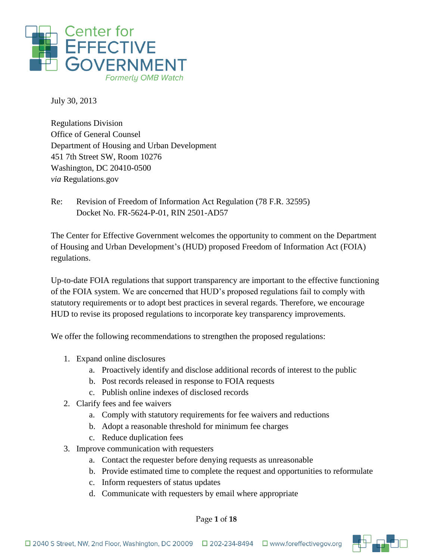

July 30, 2013

Regulations Division Office of General Counsel Department of Housing and Urban Development 451 7th Street SW, Room 10276 Washington, DC 20410-0500 *via* Regulations.gov

Re: Revision of Freedom of Information Act Regulation (78 F.R. 32595) Docket No. FR-5624-P-01, RIN 2501-AD57

The Center for Effective Government welcomes the opportunity to comment on the Department of Housing and Urban Development's (HUD) proposed Freedom of Information Act (FOIA) regulations.

Up-to-date FOIA regulations that support transparency are important to the effective functioning of the FOIA system. We are concerned that HUD's proposed regulations fail to comply with statutory requirements or to adopt best practices in several regards. Therefore, we encourage HUD to revise its proposed regulations to incorporate key transparency improvements.

We offer the following recommendations to strengthen the proposed regulations:

- 1. Expand online disclosures
	- a. Proactively identify and disclose additional records of interest to the public
	- b. Post records released in response to FOIA requests
	- c. Publish online indexes of disclosed records
- 2. Clarify fees and fee waivers
	- a. Comply with statutory requirements for fee waivers and reductions
	- b. Adopt a reasonable threshold for minimum fee charges
	- c. Reduce duplication fees
- 3. Improve communication with requesters
	- a. Contact the requester before denying requests as unreasonable
	- b. Provide estimated time to complete the request and opportunities to reformulate
	- c. Inform requesters of status updates
	- d. Communicate with requesters by email where appropriate

Page **1** of **18**

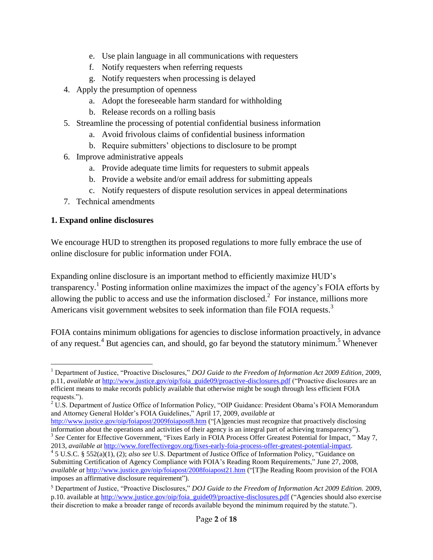- e. Use plain language in all communications with requesters
- f. Notify requesters when referring requests
- g. Notify requesters when processing is delayed
- 4. Apply the presumption of openness
	- a. Adopt the foreseeable harm standard for withholding
	- b. Release records on a rolling basis
- 5. Streamline the processing of potential confidential business information
	- a. Avoid frivolous claims of confidential business information
	- b. Require submitters' objections to disclosure to be prompt
- 6. Improve administrative appeals
	- a. Provide adequate time limits for requesters to submit appeals
	- b. Provide a website and/or email address for submitting appeals
	- c. Notify requesters of dispute resolution services in appeal determinations
- 7. Technical amendments

#### **1. Expand online disclosures**

We encourage HUD to strengthen its proposed regulations to more fully embrace the use of online disclosure for public information under FOIA.

Expanding online disclosure is an important method to efficiently maximize HUD's transparency.<sup>1</sup> Posting information online maximizes the impact of the agency's FOIA efforts by allowing the public to access and use the information disclosed.<sup>2</sup> For instance, millions more Americans visit government websites to seek information than file FOIA requests.<sup>3</sup>

FOIA contains minimum obligations for agencies to disclose information proactively, in advance of any request.<sup>4</sup> But agencies can, and should, go far beyond the statutory minimum.<sup>5</sup> Whenever

 $\overline{a}$ <sup>1</sup> Department of Justice, "Proactive Disclosures," *DOJ Guide to the Freedom of Information Act 2009 Edition,* 2009, p.11, *available at* [http://www.justice.gov/oip/foia\\_guide09/proactive-disclosures.pdf](http://www.justice.gov/oip/foia_guide09/proactive-disclosures.pdf) ("Proactive disclosures are an

efficient means to make records publicly available that otherwise might be sough through less efficient FOIA requests.").

 $2 \text{ U.S. Department of Justice Office of Information Policy, "OIP Guidance: President Obama's FOIA Memorandum$ and Attorney General Holder's FOIA Guidelines," April 17, 2009, *available at*

<http://www.justice.gov/oip/foiapost/2009foiapost8.htm> ("[A]gencies must recognize that proactively disclosing information about the operations and activities of their agency is an integral part of achieving transparency"). <sup>3</sup> See Center for Effective Government, "Fixes Early in FOIA Process Offer Greatest Potential for Impact," May 7,

<sup>2013,</sup> *available at* [http://www.foreffectivegov.org/fixes-early-foia-process-offer-greatest-potential-impact.](http://www.foreffectivegov.org/fixes-early-foia-process-offer-greatest-potential-impact)

<sup>4</sup> 5 U.S.C. § 552(a)(1), (2); *also see* U.S. Department of Justice Office of Information Policy, "Guidance on Submitting Certification of Agency Compliance with FOIA's Reading Room Requirements," June 27, 2008, *available at* <http://www.justice.gov/oip/foiapost/2008foiapost21.htm> ("[T]he Reading Room provision of the FOIA imposes an affirmative disclosure requirement").

<sup>5</sup> Department of Justice, "Proactive Disclosures," *DOJ Guide to the Freedom of Information Act 2009 Edition.* 2009, p.10. available at [http://www.justice.gov/oip/foia\\_guide09/proactive-disclosures.pdf](http://www.justice.gov/oip/foia_guide09/proactive-disclosures.pdf) ("Agencies should also exercise their discretion to make a broader range of records available beyond the minimum required by the statute.").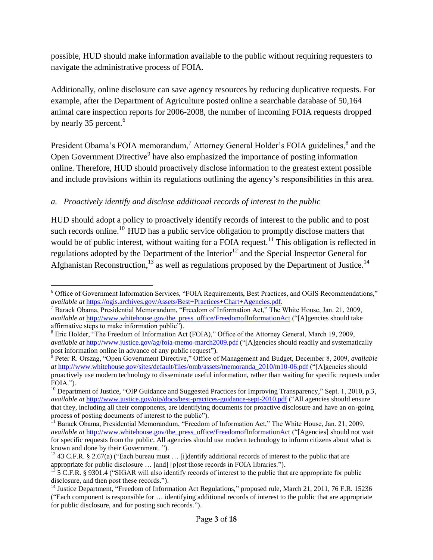possible, HUD should make information available to the public without requiring requesters to navigate the administrative process of FOIA.

Additionally, online disclosure can save agency resources by reducing duplicative requests. For example, after the Department of Agriculture posted online a searchable database of 50,164 animal care inspection reports for 2006-2008, the number of incoming FOIA requests dropped by nearly 35 percent.<sup>6</sup>

President Obama's FOIA memorandum,<sup>7</sup> Attorney General Holder's FOIA guidelines, $^8$  and the Open Government Directive<sup>9</sup> have also emphasized the importance of posting information online. Therefore, HUD should proactively disclose information to the greatest extent possible and include provisions within its regulations outlining the agency's responsibilities in this area.

# *a. Proactively identify and disclose additional records of interest to the public*

HUD should adopt a policy to proactively identify records of interest to the public and to post such records online.<sup>10</sup> HUD has a public service obligation to promptly disclose matters that would be of public interest, without waiting for a FOIA request.<sup>11</sup> This obligation is reflected in regulations adopted by the Department of the Interior<sup>12</sup> and the Special Inspector General for Afghanistan Reconstruction,  $^{13}$  as well as regulations proposed by the Department of Justice.<sup>14</sup>

<sup>1</sup> <sup>6</sup> Office of Government Information Services, "FOIA Requirements, Best Practices, and OGIS Recommendations," *available at* [https://ogis.archives.gov/Assets/Best+Practices+Chart+Agencies.pdf.](https://ogis.archives.gov/Assets/Best+Practices+Chart+Agencies.pdf) 

<sup>7</sup> Barack Obama, Presidential Memorandum, "Freedom of Information Act," The White House, Jan. 21, 2009, *available at* [http://www.whitehouse.gov/the\\_press\\_office/FreedomofInformationAct](http://www.whitehouse.gov/the_press_office/FreedomofInformationAct) ("[A]gencies should take affirmative steps to make information public").

<sup>&</sup>lt;sup>8</sup> Eric Holder, "The Freedom of Information Act (FOIA)," Office of the Attorney General, March 19, 2009, *available at* <http://www.justice.gov/ag/foia-memo-march2009.pdf> ("[A]gencies should readily and systematically post information online in advance of any public request").

<sup>9</sup> Peter R. Orszag, "Open Government Directive," Office of Management and Budget, December 8, 2009, *available at* [http://www.whitehouse.gov/sites/default/files/omb/assets/memoranda\\_2010/m10-06.pdf](http://www.whitehouse.gov/sites/default/files/omb/assets/memoranda_2010/m10-06.pdf) ("[A]gencies should proactively use modern technology to disseminate useful information, rather than waiting for specific requests under FOIA.").

<sup>&</sup>lt;sup>10</sup> Department of Justice, "OIP Guidance and Suggested Practices for Improving Transparency," Sept. 1, 2010, p.3, *available at* <http://www.justice.gov/oip/docs/best-practices-guidance-sept-2010.pdf> ("All agencies should ensure that they, including all their components, are identifying documents for proactive disclosure and have an on-going process of posting documents of interest to the public").

<sup>&</sup>lt;sup>11</sup> Barack Obama, Presidential Memorandum, "Freedom of Information Act," The White House, Jan. 21, 2009, *available at* [http://www.whitehouse.gov/the\\_press\\_office/FreedomofInformationAct](http://www.whitehouse.gov/the_press_office/FreedomofInformationAct) ("[Agencies] should not wait for specific requests from the public. All agencies should use modern technology to inform citizens about what is known and done by their Government. ").

<sup>&</sup>lt;sup>12</sup> 43 C.F.R. § 2.67(a) ("Each bureau must ... [i]dentify additional records of interest to the public that are appropriate for public disclosure … [and] [p]ost those records in FOIA libraries.").

 $^{13}$  5 C.F.R. § 9301.4 ("SIGAR will also identify records of interest to the public that are appropriate for public disclosure, and then post these records.").

<sup>&</sup>lt;sup>14</sup> Justice Department, "Freedom of Information Act Regulations," proposed rule, March 21, 2011, 76 F.R. 15236 ("Each component is responsible for … identifying additional records of interest to the public that are appropriate for public disclosure, and for posting such records.").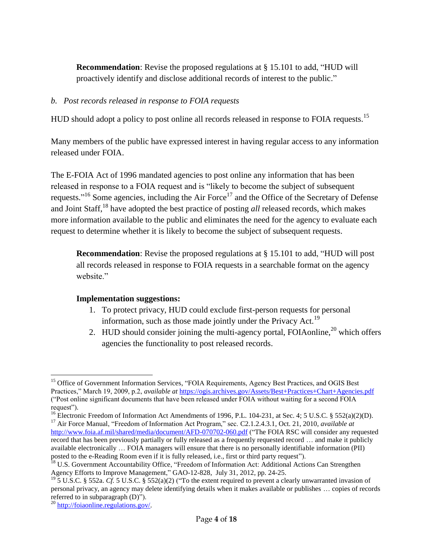**Recommendation**: Revise the proposed regulations at § 15.101 to add, "HUD will proactively identify and disclose additional records of interest to the public."

#### *b. Post records released in response to FOIA requests*

HUD should adopt a policy to post online all records released in response to FOIA requests.<sup>15</sup>

Many members of the public have expressed interest in having regular access to any information released under FOIA.

The E-FOIA Act of 1996 mandated agencies to post online any information that has been released in response to a FOIA request and is "likely to become the subject of subsequent requests."<sup>16</sup> Some agencies, including the Air Force<sup>17</sup> and the Office of the Secretary of Defense and Joint Staff, <sup>18</sup> have adopted the best practice of posting *all* released records, which makes more information available to the public and eliminates the need for the agency to evaluate each request to determine whether it is likely to become the subject of subsequent requests.

**Recommendation**: Revise the proposed regulations at § 15.101 to add, "HUD will post all records released in response to FOIA requests in a searchable format on the agency website."

#### **Implementation suggestions:**

- 1. To protect privacy, HUD could exclude first-person requests for personal information, such as those made jointly under the Privacy Act.<sup>19</sup>
- 2. HUD should consider joining the multi-agency portal, FOIAonline,  $^{20}$  which offers agencies the functionality to post released records.

<sup>1</sup> <sup>15</sup> Office of Government Information Services, "FOIA Requirements, Agency Best Practices, and OGIS Best Practices," March 19, 2009, p.2, *available at* <https://ogis.archives.gov/Assets/Best+Practices+Chart+Agencies.pdf> ("Post online significant documents that have been released under FOIA without waiting for a second FOIA request").

<sup>&</sup>lt;sup>16</sup> Electronic Freedom of Information Act Amendments of 1996, P.L. 104-231, at Sec. 4; 5 U.S.C. § 552(a)(2)(D). <sup>17</sup> Air Force Manual, "Freedom of Information Act Program," sec. C2.1.2.4.3.1, Oct. 21, 2010, *available at*  <http://www.foia.af.mil/shared/media/document/AFD-070702-060.pdf> ("The FOIA RSC will consider any requested record that has been previously partially or fully released as a frequently requested record … and make it publicly

available electronically … FOIA managers will ensure that there is no personally identifiable information (PII) posted to the e-Reading Room even if it is fully released, i.e., first or third party request").

<sup>&</sup>lt;sup>18</sup> U.S. Government Accountability Office, "Freedom of Information Act: Additional Actions Can Strengthen Agency Efforts to Improve Management," GAO-12-828, July 31, 2012, pp. 24-25.

<sup>&</sup>lt;sup>19</sup> 5 U.S.C. § 552a. *Cf.* 5 U.S.C. § 552(a)(2) ("To the extent required to prevent a clearly unwarranted invasion of personal privacy, an agency may delete identifying details when it makes available or publishes … copies of records referred to in subparagraph (D)").

<sup>20</sup> [http://foiaonline.regulations.gov/.](http://foiaonline.regulations.gov/)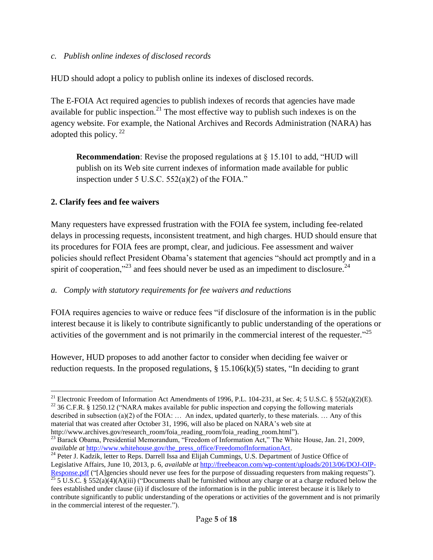#### *c. Publish online indexes of disclosed records*

HUD should adopt a policy to publish online its indexes of disclosed records.

The E-FOIA Act required agencies to publish indexes of records that agencies have made available for public inspection.<sup>21</sup> The most effective way to publish such indexes is on the agency website. For example, the National Archives and Records Administration (NARA) has adopted this policy. <sup>22</sup>

**Recommendation**: Revise the proposed regulations at § 15.101 to add, "HUD will publish on its Web site current indexes of information made available for public inspection under 5 U.S.C. 552(a)(2) of the FOIA."

#### **2. Clarify fees and fee waivers**

Many requesters have expressed frustration with the FOIA fee system, including fee-related delays in processing requests, inconsistent treatment, and high charges. HUD should ensure that its procedures for FOIA fees are prompt, clear, and judicious. Fee assessment and waiver policies should reflect President Obama's statement that agencies "should act promptly and in a spirit of cooperation,"<sup>23</sup> and fees should never be used as an impediment to disclosure.<sup>24</sup>

#### *a. Comply with statutory requirements for fee waivers and reductions*

FOIA requires agencies to waive or reduce fees "if disclosure of the information is in the public interest because it is likely to contribute significantly to public understanding of the operations or activities of the government and is not primarily in the commercial interest of the requester. $^{325}$ 

However, HUD proposes to add another factor to consider when deciding fee waiver or reduction requests. In the proposed regulations,  $\S$  15.106(k)(5) states, "In deciding to grant

<sup>24</sup> Peter J. Kadzik, letter to Reps. Darrell Issa and Elijah Cummings, U.S. Department of Justice Office of Legislative Affairs, June 10, 2013, p. 6, *available at* [http://freebeacon.com/wp-content/uploads/2013/06/DOJ-OIP-](http://freebeacon.com/wp-content/uploads/2013/06/DOJ-OIP-Response.pdf)[Response.pdf](http://freebeacon.com/wp-content/uploads/2013/06/DOJ-OIP-Response.pdf) ("[A]gencies should never use fees for the purpose of dissuading requesters from making requests").  $\frac{125}{25}$  5 U.S.C. § 552(a)(4)(A)(iii) ("Documents shall be furnished without any charge or at a charge reduced below the fees established under clause (ii) if disclosure of the information is in the public interest because it is likely to contribute significantly to public understanding of the operations or activities of the government and is not primarily in the commercial interest of the requester.").

 $\overline{a}$ <sup>21</sup> Electronic Freedom of Information Act Amendments of 1996, P.L. 104-231, at Sec. 4; 5 U.S.C. § 552(a)(2)(E).

<sup>&</sup>lt;sup>22</sup> 36 C.F.R. § 1250.12 ("NARA makes available for public inspection and copying the following materials described in subsection (a)(2) of the FOIA: … An index, updated quarterly, to these materials. … Any of this material that was created after October 31, 1996, will also be placed on NARA's web site at http://www.archives.gov/research\_room/foia\_reading\_room/foia\_reading\_room.html").

<sup>&</sup>lt;sup>23</sup> Barack Obama, Presidential Memorandum, "Freedom of Information Act," The White House, Jan. 21, 2009, *available at [http://www.whitehouse.gov/the\\_press\\_office/FreedomofInformationAct.](http://www.whitehouse.gov/the_press_office/FreedomofInformationAct)*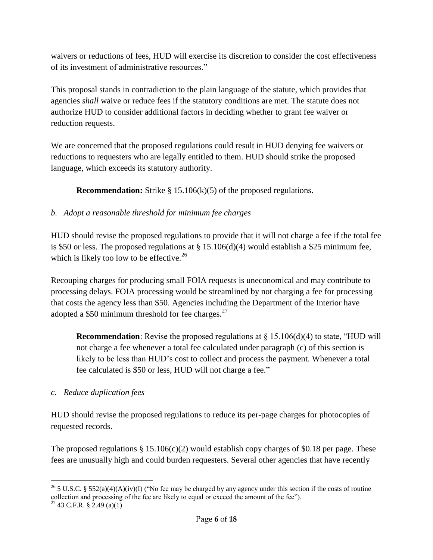waivers or reductions of fees, HUD will exercise its discretion to consider the cost effectiveness of its investment of administrative resources."

This proposal stands in contradiction to the plain language of the statute, which provides that agencies *shall* waive or reduce fees if the statutory conditions are met. The statute does not authorize HUD to consider additional factors in deciding whether to grant fee waiver or reduction requests.

We are concerned that the proposed regulations could result in HUD denying fee waivers or reductions to requesters who are legally entitled to them. HUD should strike the proposed language, which exceeds its statutory authority.

**Recommendation:** Strike § 15.106(k)(5) of the proposed regulations.

# *b. Adopt a reasonable threshold for minimum fee charges*

HUD should revise the proposed regulations to provide that it will not charge a fee if the total fee is \$50 or less. The proposed regulations at § 15.106(d)(4) would establish a \$25 minimum fee, which is likely too low to be effective.<sup>26</sup>

Recouping charges for producing small FOIA requests is uneconomical and may contribute to processing delays. FOIA processing would be streamlined by not charging a fee for processing that costs the agency less than \$50. Agencies including the Department of the Interior have adopted a \$50 minimum threshold for fee charges. $27$ 

**Recommendation**: Revise the proposed regulations at  $\S$  15.106(d)(4) to state, "HUD will not charge a fee whenever a total fee calculated under paragraph (c) of this section is likely to be less than HUD's cost to collect and process the payment. Whenever a total fee calculated is \$50 or less, HUD will not charge a fee."

### *c. Reduce duplication fees*

HUD should revise the proposed regulations to reduce its per-page charges for photocopies of requested records.

The proposed regulations  $\S 15.106(c)(2)$  would establish copy charges of \$0.18 per page. These fees are unusually high and could burden requesters. Several other agencies that have recently

<sup>1</sup> <sup>26</sup> 5 U.S.C. § 552(a)(4)(A)(iv)(I) ("No fee may be charged by any agency under this section if the costs of routine collection and processing of the fee are likely to equal or exceed the amount of the fee").  $^{27}$  43 C.F.R. § 2.49 (a)(1)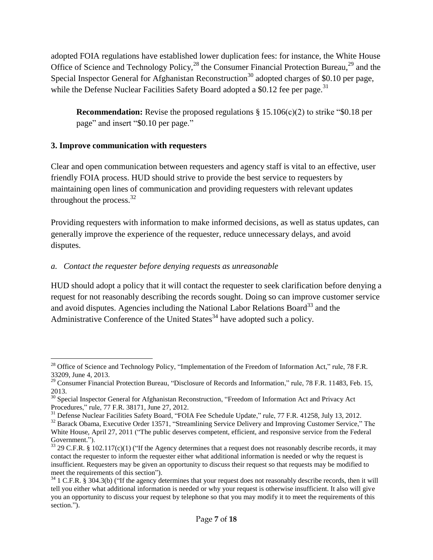adopted FOIA regulations have established lower duplication fees: for instance, the White House Office of Science and Technology Policy, $^{28}$  the Consumer Financial Protection Bureau, $^{29}$  and the Special Inspector General for Afghanistan Reconstruction<sup>30</sup> adopted charges of \$0.10 per page, while the Defense Nuclear Facilities Safety Board adopted a  $$0.12$  fee per page.<sup>31</sup>

**Recommendation:** Revise the proposed regulations § 15.106(c)(2) to strike "\$0.18 per page" and insert "\$0.10 per page."

# **3. Improve communication with requesters**

Clear and open communication between requesters and agency staff is vital to an effective, user friendly FOIA process. HUD should strive to provide the best service to requesters by maintaining open lines of communication and providing requesters with relevant updates throughout the process. $^{32}$ 

Providing requesters with information to make informed decisions, as well as status updates, can generally improve the experience of the requester, reduce unnecessary delays, and avoid disputes.

# *a. Contact the requester before denying requests as unreasonable*

HUD should adopt a policy that it will contact the requester to seek clarification before denying a request for not reasonably describing the records sought. Doing so can improve customer service and avoid disputes. Agencies including the National Labor Relations Board<sup>33</sup> and the Administrative Conference of the United States<sup>34</sup> have adopted such a policy.

<sup>1</sup> <sup>28</sup> Office of Science and Technology Policy, "Implementation of the Freedom of Information Act," rule, 78 F.R. 33209, June 4, 2013.

<sup>&</sup>lt;sup>29</sup> Consumer Financial Protection Bureau, "Disclosure of Records and Information," rule, 78 F.R. 11483, Feb. 15, 2013.

<sup>&</sup>lt;sup>30</sup> Special Inspector General for Afghanistan Reconstruction, "Freedom of Information Act and Privacy Act Procedures," rule, 77 F.R. 38171, June 27, 2012.

<sup>&</sup>lt;sup>31</sup> Defense Nuclear Facilities Safety Board, "FOIA Fee Schedule Update," rule, 77 F.R. 41258, July 13, 2012.

<sup>&</sup>lt;sup>32</sup> Barack Obama, Executive Order 13571, "Streamlining Service Delivery and Improving Customer Service," The White House, April 27, 2011 ("The public deserves competent, efficient, and responsive service from the Federal Government.").

 $33$  29 C.F.R. § 102.117(c)(1) ("If the Agency determines that a request does not reasonably describe records, it may contact the requester to inform the requester either what additional information is needed or why the request is insufficient. Requesters may be given an opportunity to discuss their request so that requests may be modified to meet the requirements of this section").

 $34$  1 C.F.R. § 304.3(b) ("If the agency determines that your request does not reasonably describe records, then it will tell you either what additional information is needed or why your request is otherwise insufficient. It also will give you an opportunity to discuss your request by telephone so that you may modify it to meet the requirements of this section.").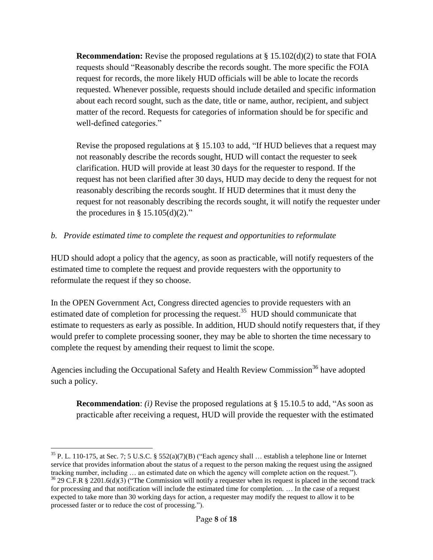**Recommendation:** Revise the proposed regulations at § 15.102(d)(2) to state that FOIA requests should "Reasonably describe the records sought. The more specific the FOIA request for records, the more likely HUD officials will be able to locate the records requested. Whenever possible, requests should include detailed and specific information about each record sought, such as the date, title or name, author, recipient, and subject matter of the record. Requests for categories of information should be for specific and well-defined categories."

Revise the proposed regulations at § 15.103 to add, "If HUD believes that a request may not reasonably describe the records sought, HUD will contact the requester to seek clarification. HUD will provide at least 30 days for the requester to respond. If the request has not been clarified after 30 days, HUD may decide to deny the request for not reasonably describing the records sought. If HUD determines that it must deny the request for not reasonably describing the records sought, it will notify the requester under the procedures in §  $15.105(d)(2)$ ."

# *b. Provide estimated time to complete the request and opportunities to reformulate*

HUD should adopt a policy that the agency, as soon as practicable, will notify requesters of the estimated time to complete the request and provide requesters with the opportunity to reformulate the request if they so choose.

In the OPEN Government Act, Congress directed agencies to provide requesters with an estimated date of completion for processing the request.<sup>35</sup> HUD should communicate that estimate to requesters as early as possible. In addition, HUD should notify requesters that, if they would prefer to complete processing sooner, they may be able to shorten the time necessary to complete the request by amending their request to limit the scope.

Agencies including the Occupational Safety and Health Review Commission<sup>36</sup> have adopted such a policy.

**Recommendation**: *(i)* Revise the proposed regulations at § 15.10.5 to add, "As soon as practicable after receiving a request, HUD will provide the requester with the estimated

 $\overline{a}$ <sup>35</sup> P. L. 110-175, at Sec. 7; 5 U.S.C. § 552(a)(7)(B) ("Each agency shall ... establish a telephone line or Internet service that provides information about the status of a request to the person making the request using the assigned tracking number, including … an estimated date on which the agency will complete action on the request.").  $36$  29 C.F.R § 2201.6(d)(3) ("The Commission will notify a requester when its request is placed in the second track for processing and that notification will include the estimated time for completion. … In the case of a request expected to take more than 30 working days for action, a requester may modify the request to allow it to be processed faster or to reduce the cost of processing.").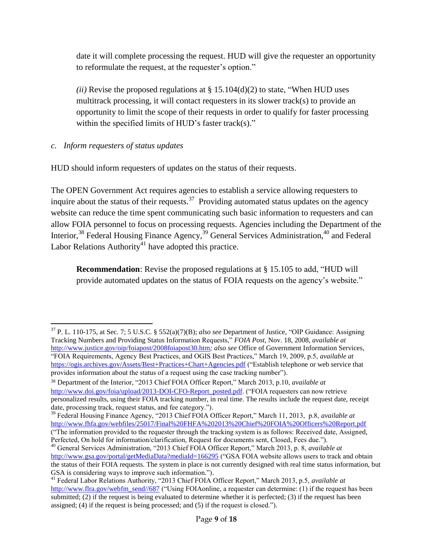date it will complete processing the request. HUD will give the requester an opportunity to reformulate the request, at the requester's option."

*(ii)* Revise the proposed regulations at  $\S$  15.104(d)(2) to state, "When HUD uses multitrack processing, it will contact requesters in its slower track(s) to provide an opportunity to limit the scope of their requests in order to qualify for faster processing within the specified limits of HUD's faster track(s)."

# *c. Inform requesters of status updates*

HUD should inform requesters of updates on the status of their requests.

The OPEN Government Act requires agencies to establish a service allowing requesters to inquire about the status of their requests.<sup>37</sup> Providing automated status updates on the agency website can reduce the time spent communicating such basic information to requesters and can allow FOIA personnel to focus on processing requests. Agencies including the Department of the Interior,<sup>38</sup> Federal Housing Finance Agency,<sup>39</sup> General Services Administration,<sup>40</sup> and Federal Labor Relations Authority<sup>41</sup> have adopted this practice.

**Recommendation**: Revise the proposed regulations at § 15.105 to add, "HUD will provide automated updates on the status of FOIA requests on the agency's website."

("The information provided to the requester through the tracking system is as follows: Received date, Assigned, Perfected, On hold for information/clarification, Request for documents sent, Closed, Fees due.").

<sup>1</sup> <sup>37</sup> P. L. 110-175, at Sec. 7; 5 U.S.C. § 552(a)(7)(B); *also see* Department of Justice, "OIP Guidance: Assigning Tracking Numbers and Providing Status Information Requests," *FOIA Post*, Nov. 18, 2008, *available at*  <http://www.justice.gov/oip/foiapost/2008foiapost30.htm>*; also see* Office of Government Information Services, "FOIA Requirements, Agency Best Practices, and OGIS Best Practices," March 19, 2009, p.5, *available at* <https://ogis.archives.gov/Assets/Best+Practices+Chart+Agencies.pdf> ("Establish telephone or web service that provides information about the status of a request using the case tracking number").

<sup>38</sup> Department of the Interior, "2013 Chief FOIA Officer Report," March 2013, p.10, *available at*  [http://www.doi.gov/foia/upload/2013-DOI-CFO-Report\\_posted.pdf.](http://www.doi.gov/foia/upload/2013-DOI-CFO-Report_posted.pdf) ("FOIA requesters can now retrieve personalized results, using their FOIA tracking number, in real time. The results include the request date, receipt date, processing track, request status, and fee category.").

<sup>39</sup> Federal Housing Finance Agency, "2013 Chief FOIA Officer Report," March 11, 2013, p.8, *available at*  <http://www.fhfa.gov/webfiles/25017/Final%20FHFA%202013%20Chief%20FOIA%20Officers%20Report.pdf>

<sup>40</sup> General Services Administration, "2013 Chief FOIA Officer Report," March 2013, p. 8, *available at*  <http://www.gsa.gov/portal/getMediaData?mediaId=166295> ("GSA FOIA website allows users to track and obtain the status of their FOIA requests. The system in place is not currently designed with real time status information, but GSA is considering ways to improve such information.").

<sup>41</sup> Federal Labor Relations Authority, "2013 Chief FOIA Officer Report," March 2013, p.5, *available at*  [http://www.flra.gov/webfm\\_send//687](http://www.flra.gov/webfm_send/687) ("Using FOIAonline, a requester can determine: (1) if the request has been submitted; (2) if the request is being evaluated to determine whether it is perfected; (3) if the request has been assigned; (4) if the request is being processed; and (5) if the request is closed.").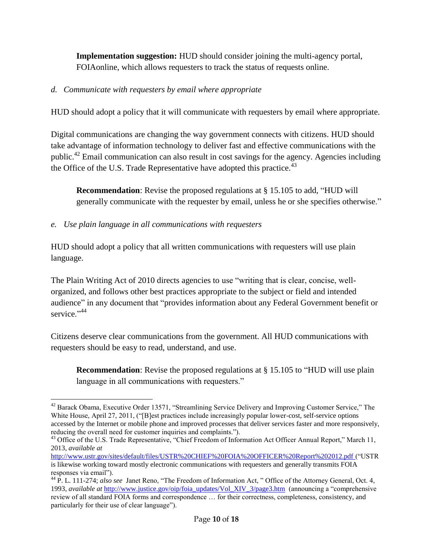**Implementation suggestion:** HUD should consider joining the multi-agency portal, FOIAonline, which allows requesters to track the status of requests online.

# *d. Communicate with requesters by email where appropriate*

HUD should adopt a policy that it will communicate with requesters by email where appropriate.

Digital communications are changing the way government connects with citizens. HUD should take advantage of information technology to deliver fast and effective communications with the public.<sup>42</sup> Email communication can also result in cost savings for the agency. Agencies including the Office of the U.S. Trade Representative have adopted this practice.<sup>43</sup>

**Recommendation**: Revise the proposed regulations at § 15.105 to add, "HUD will generally communicate with the requester by email, unless he or she specifies otherwise."

# *e. Use plain language in all communications with requesters*

 $\overline{a}$ 

HUD should adopt a policy that all written communications with requesters will use plain language.

The Plain Writing Act of 2010 directs agencies to use "writing that is clear, concise, wellorganized, and follows other best practices appropriate to the subject or field and intended audience" in any document that "provides information about any Federal Government benefit or service."<sup>44</sup>

Citizens deserve clear communications from the government. All HUD communications with requesters should be easy to read, understand, and use.

**Recommendation**: Revise the proposed regulations at § 15.105 to "HUD will use plain language in all communications with requesters."

<sup>&</sup>lt;sup>42</sup> Barack Obama, Executive Order 13571, "Streamlining Service Delivery and Improving Customer Service," The White House, April 27, 2011, ("[B]est practices include increasingly popular lower-cost, self-service options accessed by the Internet or mobile phone and improved processes that deliver services faster and more responsively, reducing the overall need for customer inquiries and complaints.").

<sup>&</sup>lt;sup>43</sup> Office of the U.S. Trade Representative, "Chief Freedom of Information Act Officer Annual Report," March 11, 2013, *available at*

<http://www.ustr.gov/sites/default/files/USTR%20CHIEF%20FOIA%20OFFICER%20Report%202012.pdf> ("USTR is likewise working toward mostly electronic communications with requesters and generally transmits FOIA responses via email").

<sup>44</sup> P. L. 111-274; *also see* Janet Reno, "The Freedom of Information Act, " Office of the Attorney General, Oct. 4, 1993, *available at* [http://www.justice.gov/oip/foia\\_updates/Vol\\_XIV\\_3/page3.htm](http://www.justice.gov/oip/foia_updates/Vol_XIV_3/page3.htm) (announcing a "comprehensive review of all standard FOIA forms and correspondence … for their correctness, completeness, consistency, and particularly for their use of clear language").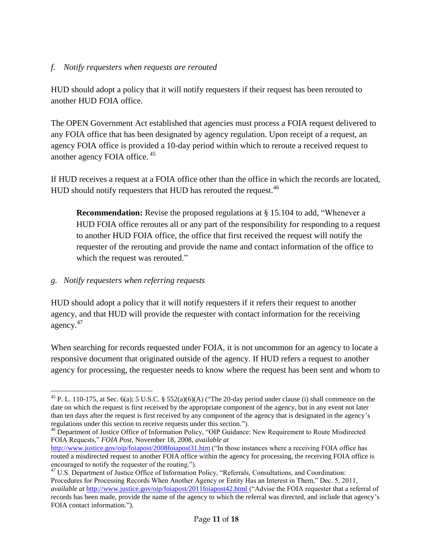### *f. Notify requesters when requests are rerouted*

HUD should adopt a policy that it will notify requesters if their request has been rerouted to another HUD FOIA office.

The OPEN Government Act established that agencies must process a FOIA request delivered to any FOIA office that has been designated by agency regulation. Upon receipt of a request, an agency FOIA office is provided a 10-day period within which to reroute a received request to another agency FOIA office. <sup>45</sup>

If HUD receives a request at a FOIA office other than the office in which the records are located, HUD should notify requesters that HUD has rerouted the request.<sup>46</sup>

**Recommendation:** Revise the proposed regulations at § 15.104 to add, "Whenever a HUD FOIA office reroutes all or any part of the responsibility for responding to a request to another HUD FOIA office, the office that first received the request will notify the requester of the rerouting and provide the name and contact information of the office to which the request was rerouted."

#### *g. Notify requesters when referring requests*

 $\overline{a}$ 

HUD should adopt a policy that it will notify requesters if it refers their request to another agency, and that HUD will provide the requester with contact information for the receiving agency.<sup>47</sup>

When searching for records requested under FOIA, it is not uncommon for an agency to locate a responsive document that originated outside of the agency. If HUD refers a request to another agency for processing, the requester needs to know where the request has been sent and whom to

<sup>46</sup> Department of Justice Office of Information Policy, "OIP Guidance: New Requirement to Route Misdirected FOIA Requests," *FOIA Post*, November 18, 2008, *available at* 

<sup>&</sup>lt;sup>45</sup> P. L. 110-175, at Sec. 6(a); 5 U.S.C. § 552(a)(6)(A) ("The 20-day period under clause (i) shall commence on the date on which the request is first received by the appropriate component of the agency, but in any event not later than ten days after the request is first received by any component of the agency that is designated in the agency's regulations under this section to receive requests under this section.").

<http://www.justice.gov/oip/foiapost/2008foiapost31.htm> ("In those instances where a receiving FOIA office has routed a misdirected request to another FOIA office within the agency for processing, the receiving FOIA office is encouraged to notify the requester of the routing.").

<sup>&</sup>lt;sup>47</sup> U.S. Department of Justice Office of Information Policy, "Referrals, Consultations, and Coordination: Procedures for Processing Records When Another Agency or Entity Has an Interest in Them," Dec. 5, 2011, *available at* <http://www.justice.gov/oip/foiapost/2011foiapost42.html> ("Advise the FOIA requester that a referral of records has been made, provide the name of the agency to which the referral was directed, and include that agency's FOIA contact information.").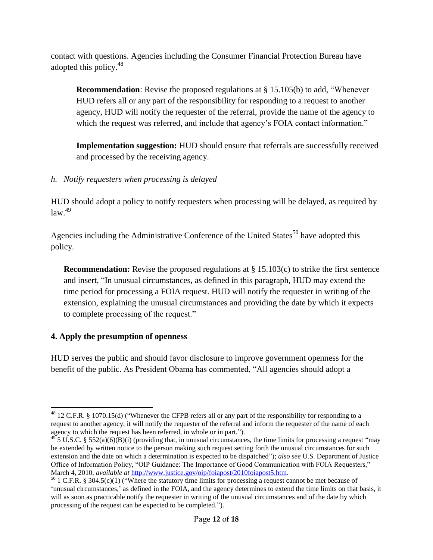contact with questions. Agencies including the Consumer Financial Protection Bureau have adopted this policy.<sup>48</sup>

**Recommendation**: Revise the proposed regulations at § 15.105(b) to add, "Whenever HUD refers all or any part of the responsibility for responding to a request to another agency, HUD will notify the requester of the referral, provide the name of the agency to which the request was referred, and include that agency's FOIA contact information."

**Implementation suggestion:** HUD should ensure that referrals are successfully received and processed by the receiving agency.

*h. Notify requesters when processing is delayed*

HUD should adopt a policy to notify requesters when processing will be delayed, as required by  $law<sup>49</sup>$ 

Agencies including the Administrative Conference of the United States<sup>50</sup> have adopted this policy.

**Recommendation:** Revise the proposed regulations at § 15.103(c) to strike the first sentence and insert, "In unusual circumstances, as defined in this paragraph, HUD may extend the time period for processing a FOIA request. HUD will notify the requester in writing of the extension, explaining the unusual circumstances and providing the date by which it expects to complete processing of the request."

### **4. Apply the presumption of openness**

HUD serves the public and should favor disclosure to improve government openness for the benefit of the public. As President Obama has commented, "All agencies should adopt a

<sup>1</sup>  $^{48}$  12 C.F.R. § 1070.15(d) ("Whenever the CFPB refers all or any part of the responsibility for responding to a request to another agency, it will notify the requester of the referral and inform the requester of the name of each agency to which the request has been referred, in whole or in part.").

 $^{49}$  5 U.S.C. § 552(a)(6)(B)(i) (providing that, in unusual circumstances, the time limits for processing a request "may be extended by written notice to the person making such request setting forth the unusual circumstances for such extension and the date on which a determination is expected to be dispatched"); *also see* U.S. Department of Justice Office of Information Policy, "OIP Guidance: The Importance of Good Communication with FOIA Requesters," March 4, 2010, *available at* [http://www.justice.gov/oip/foiapost/2010foiapost5.htm.](http://www.justice.gov/oip/foiapost/2010foiapost5.htm)

 $50$  1 C.F.R. § 304.5(c)(1) ("Where the statutory time limits for processing a request cannot be met because of 'unusual circumstances,' as defined in the FOIA, and the agency determines to extend the time limits on that basis, it will as soon as practicable notify the requester in writing of the unusual circumstances and of the date by which processing of the request can be expected to be completed.").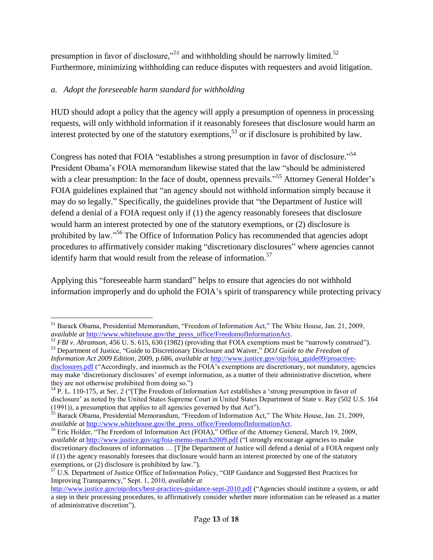presumption in favor of disclosure,"<sup>51</sup> and withholding should be narrowly limited.<sup>52</sup> Furthermore, minimizing withholding can reduce disputes with requesters and avoid litigation.

# *a. Adopt the foreseeable harm standard for withholding*

HUD should adopt a policy that the agency will apply a presumption of openness in processing requests, will only withhold information if it reasonably foresees that disclosure would harm an interest protected by one of the statutory exemptions, <sup>53</sup> or if disclosure is prohibited by law.

Congress has noted that FOIA "establishes a strong presumption in favor of disclosure."<sup>54</sup> President Obama's FOIA memorandum likewise stated that the law "should be administered with a clear presumption: In the face of doubt, openness prevails."<sup>55</sup> Attorney General Holder's FOIA guidelines explained that "an agency should not withhold information simply because it may do so legally." Specifically, the guidelines provide that "the Department of Justice will defend a denial of a FOIA request only if (1) the agency reasonably foresees that disclosure would harm an interest protected by one of the statutory exemptions, or (2) disclosure is prohibited by law."<sup>56</sup> The Office of Information Policy has recommended that agencies adopt procedures to affirmatively consider making "discretionary disclosures" where agencies cannot identify harm that would result from the release of information.<sup>57</sup>

Applying this "foreseeable harm standard" helps to ensure that agencies do not withhold information improperly and do uphold the FOIA's spirit of transparency while protecting privacy

 $\overline{a}$ <sup>51</sup> Barack Obama, Presidential Memorandum, "Freedom of Information Act," The White House, Jan. 21, 2009, *available at [http://www.whitehouse.gov/the\\_press\\_office/FreedomofInformationAct.](http://www.whitehouse.gov/the_press_office/FreedomofInformationAct)* 

<sup>52</sup> *FBI v. Abramson*, 456 U. S. 615, 630 (1982) (providing that FOIA exemptions must be "narrowly construed"). <sup>53</sup> Department of Justice, "Guide to Discretionary Disclosure and Waiver," *DOJ Guide to the Freedom of Information Act 2009 Edition,* 2009, p.686, *available at* [http://www.justice.gov/oip/foia\\_guide09/proactive-](http://www.justice.gov/oip/foia_guide09/proactive-disclosures.pdf)

[disclosures.pdf](http://www.justice.gov/oip/foia_guide09/proactive-disclosures.pdf) ("Accordingly, and inasmuch as the FOIA's exemptions are discretionary, not mandatory, agencies may make 'discretionary disclosures' of exempt information, as a matter of their administrative discretion, where they are not otherwise prohibited from doing so.")

<sup>54</sup> P. L. 110-175, at Sec. 2 ("[T]he Freedom of Information Act establishes a 'strong presumption in favor of disclosure' as noted by the United States Supreme Court in United States Department of State v. Ray (502 U.S. 164 (1991)), a presumption that applies to all agencies governed by that Act").

<sup>&</sup>lt;sup>55</sup> Barack Obama, Presidential Memorandum, "Freedom of Information Act," The White House, Jan. 21, 2009, *available at [http://www.whitehouse.gov/the\\_press\\_office/FreedomofInformationAct.](http://www.whitehouse.gov/the_press_office/FreedomofInformationAct)* 

<sup>&</sup>lt;sup>56</sup> Eric Holder, "The Freedom of Information Act (FOIA)," Office of the Attorney General, March 19, 2009, *available at <http://www.justice.gov/ag/foia-memo-march2009.pdf>* ("I strongly encourage agencies to make discretionary disclosures of information … [T]he Department of Justice will defend a denial of a FOIA request only if (1) the agency reasonably foresees that disclosure would harm an interest protected by one of the statutory exemptions, or (2) disclosure is prohibited by law.").

<sup>&</sup>lt;sup>57</sup> U.S. Department of Justice Office of Information Policy, "OIP Guidance and Suggested Best Practices for Improving Transparency," Sept. 1, 2010, *available at*

<http://www.justice.gov/oip/docs/best-practices-guidance-sept-2010.pdf> ("Agencies should institute a system, or add a step in their processing procedures, to affirmatively consider whether more information can be released as a matter of administrative discretion").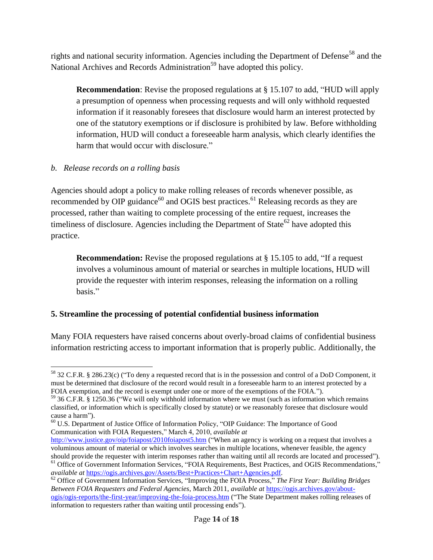rights and national security information. Agencies including the Department of Defense<sup>58</sup> and the National Archives and Records Administration<sup>59</sup> have adopted this policy.

**Recommendation**: Revise the proposed regulations at § 15.107 to add, "HUD will apply a presumption of openness when processing requests and will only withhold requested information if it reasonably foresees that disclosure would harm an interest protected by one of the statutory exemptions or if disclosure is prohibited by law. Before withholding information, HUD will conduct a foreseeable harm analysis, which clearly identifies the harm that would occur with disclosure."

# *b. Release records on a rolling basis*

 $\overline{a}$ 

Agencies should adopt a policy to make rolling releases of records whenever possible, as recommended by OIP guidance<sup>60</sup> and OGIS best practices.<sup>61</sup> Releasing records as they are processed, rather than waiting to complete processing of the entire request, increases the timeliness of disclosure. Agencies including the Department of State<sup>62</sup> have adopted this practice.

**Recommendation:** Revise the proposed regulations at § 15.105 to add, "If a request" involves a voluminous amount of material or searches in multiple locations, HUD will provide the requester with interim responses, releasing the information on a rolling basis."

# **5. Streamline the processing of potential confidential business information**

Many FOIA requesters have raised concerns about overly-broad claims of confidential business information restricting access to important information that is properly public. Additionally, the

 $58$  32 C.F.R. § 286.23(c) ("To deny a requested record that is in the possession and control of a DoD Component, it must be determined that disclosure of the record would result in a foreseeable harm to an interest protected by a FOIA exemption, and the record is exempt under one or more of the exemptions of the FOIA.").

<sup>59</sup> 36 C.F.R. § 1250.36 ("We will only withhold information where we must (such as information which remains classified, or information which is specifically closed by statute) or we reasonably foresee that disclosure would cause a harm").

<sup>&</sup>lt;sup>60</sup> U.S. Department of Justice Office of Information Policy, "OIP Guidance: The Importance of Good Communication with FOIA Requesters," March 4, 2010, *available at*

<http://www.justice.gov/oip/foiapost/2010foiapost5.htm> ("When an agency is working on a request that involves a voluminous amount of material or which involves searches in multiple locations, whenever feasible, the agency should provide the requester with interim responses rather than waiting until all records are located and processed").

<sup>&</sup>lt;sup>61</sup> Office of Government Information Services, "FOIA Requirements, Best Practices, and OGIS Recommendations," *available at* [https://ogis.archives.gov/Assets/Best+Practices+Chart+Agencies.pdf.](https://ogis.archives.gov/Assets/Best+Practices+Chart+Agencies.pdf) 

<sup>62</sup> Office of Government Information Services, "Improving the FOIA Process," *The First Year: Building Bridges Between FOIA Requesters and Federal Agencies*, March 2011, *available at* [https://ogis.archives.gov/about](https://ogis.archives.gov/about-ogis/ogis-reports/the-first-year/improving-the-foia-process.htm)[ogis/ogis-reports/the-first-year/improving-the-foia-process.htm](https://ogis.archives.gov/about-ogis/ogis-reports/the-first-year/improving-the-foia-process.htm) ("The State Department makes rolling releases of information to requesters rather than waiting until processing ends").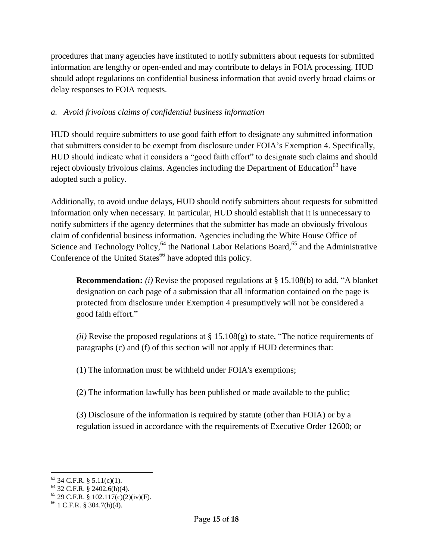procedures that many agencies have instituted to notify submitters about requests for submitted information are lengthy or open-ended and may contribute to delays in FOIA processing. HUD should adopt regulations on confidential business information that avoid overly broad claims or delay responses to FOIA requests.

# *a. Avoid frivolous claims of confidential business information*

HUD should require submitters to use good faith effort to designate any submitted information that submitters consider to be exempt from disclosure under FOIA's Exemption 4. Specifically, HUD should indicate what it considers a "good faith effort" to designate such claims and should reject obviously frivolous claims. Agencies including the Department of Education<sup>63</sup> have adopted such a policy.

Additionally, to avoid undue delays, HUD should notify submitters about requests for submitted information only when necessary. In particular, HUD should establish that it is unnecessary to notify submitters if the agency determines that the submitter has made an obviously frivolous claim of confidential business information. Agencies including the White House Office of Science and Technology Policy, <sup>64</sup> the National Labor Relations Board, <sup>65</sup> and the Administrative Conference of the United States<sup>66</sup> have adopted this policy.

**Recommendation:** *(i)* Revise the proposed regulations at § 15.108(b) to add, "A blanket designation on each page of a submission that all information contained on the page is protected from disclosure under Exemption 4 presumptively will not be considered a good faith effort."

*(ii)* Revise the proposed regulations at § 15.108(g) to state, "The notice requirements of paragraphs (c) and (f) of this section will not apply if HUD determines that:

(1) The information must be withheld under FOIA's exemptions;

(2) The information lawfully has been published or made available to the public;

(3) Disclosure of the information is required by statute (other than FOIA) or by a regulation issued in accordance with the requirements of Executive Order 12600; or

<sup>1</sup>  $63$  34 C.F.R. § 5.11(c)(1).

 $64$  32 C.F.R. § 2402.6(h)(4).

 $65$  29 C.F.R. § 102.117(c)(2)(iv)(F).

 $66$  1 C.F.R. § 304.7(h)(4).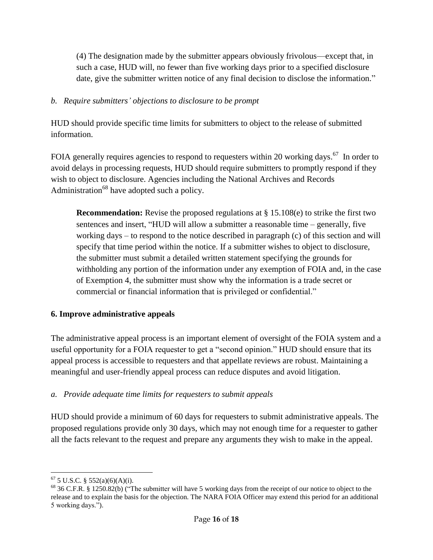(4) The designation made by the submitter appears obviously frivolous—except that, in such a case, HUD will, no fewer than five working days prior to a specified disclosure date, give the submitter written notice of any final decision to disclose the information."

#### *b. Require submitters' objections to disclosure to be prompt*

HUD should provide specific time limits for submitters to object to the release of submitted information.

FOIA generally requires agencies to respond to requesters within 20 working days.<sup>67</sup> In order to avoid delays in processing requests, HUD should require submitters to promptly respond if they wish to object to disclosure. Agencies including the National Archives and Records Administration<sup>68</sup> have adopted such a policy.

**Recommendation:** Revise the proposed regulations at § 15.108(e) to strike the first two sentences and insert, "HUD will allow a submitter a reasonable time – generally, five working days – to respond to the notice described in paragraph (c) of this section and will specify that time period within the notice. If a submitter wishes to object to disclosure, the submitter must submit a detailed written statement specifying the grounds for withholding any portion of the information under any exemption of FOIA and, in the case of Exemption 4, the submitter must show why the information is a trade secret or commercial or financial information that is privileged or confidential."

### **6. Improve administrative appeals**

The administrative appeal process is an important element of oversight of the FOIA system and a useful opportunity for a FOIA requester to get a "second opinion." HUD should ensure that its appeal process is accessible to requesters and that appellate reviews are robust. Maintaining a meaningful and user-friendly appeal process can reduce disputes and avoid litigation.

### *a. Provide adequate time limits for requesters to submit appeals*

HUD should provide a minimum of 60 days for requesters to submit administrative appeals. The proposed regulations provide only 30 days, which may not enough time for a requester to gather all the facts relevant to the request and prepare any arguments they wish to make in the appeal.

<sup>1</sup>  $67$  5 U.S.C. § 552(a)(6)(A)(i).

<sup>&</sup>lt;sup>68</sup> 36 C.F.R. § 1250.82(b) ("The submitter will have 5 working days from the receipt of our notice to object to the release and to explain the basis for the objection. The NARA FOIA Officer may extend this period for an additional 5 working days.").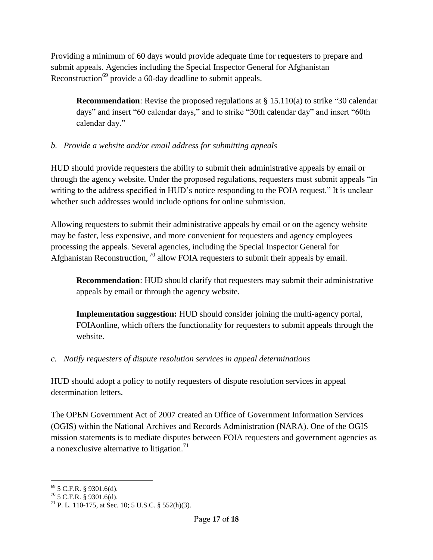Providing a minimum of 60 days would provide adequate time for requesters to prepare and submit appeals. Agencies including the Special Inspector General for Afghanistan Reconstruction<sup>69</sup> provide a 60-day deadline to submit appeals.

**Recommendation**: Revise the proposed regulations at § 15.110(a) to strike "30 calendar days" and insert "60 calendar days," and to strike "30th calendar day" and insert "60th calendar day."

# *b. Provide a website and/or email address for submitting appeals*

HUD should provide requesters the ability to submit their administrative appeals by email or through the agency website. Under the proposed regulations, requesters must submit appeals "in writing to the address specified in HUD's notice responding to the FOIA request." It is unclear whether such addresses would include options for online submission.

Allowing requesters to submit their administrative appeals by email or on the agency website may be faster, less expensive, and more convenient for requesters and agency employees processing the appeals. Several agencies, including the Special Inspector General for Afghanistan Reconstruction,  $^{70}$  allow FOIA requesters to submit their appeals by email.

**Recommendation**: HUD should clarify that requesters may submit their administrative appeals by email or through the agency website.

**Implementation suggestion:** HUD should consider joining the multi-agency portal, FOIAonline, which offers the functionality for requesters to submit appeals through the website.

### *c. Notify requesters of dispute resolution services in appeal determinations*

HUD should adopt a policy to notify requesters of dispute resolution services in appeal determination letters.

The OPEN Government Act of 2007 created an Office of Government Information Services (OGIS) within the National Archives and Records Administration (NARA). One of the OGIS mission statements is to mediate disputes between FOIA requesters and government agencies as a nonexclusive alternative to litigation.<sup>71</sup>

<sup>1</sup>  $69$  5 C.F.R. § 9301.6(d).

 $70$  5 C.F.R. § 9301.6(d).

 $71$  P. L. 110-175, at Sec. 10; 5 U.S.C. § 552(h)(3).